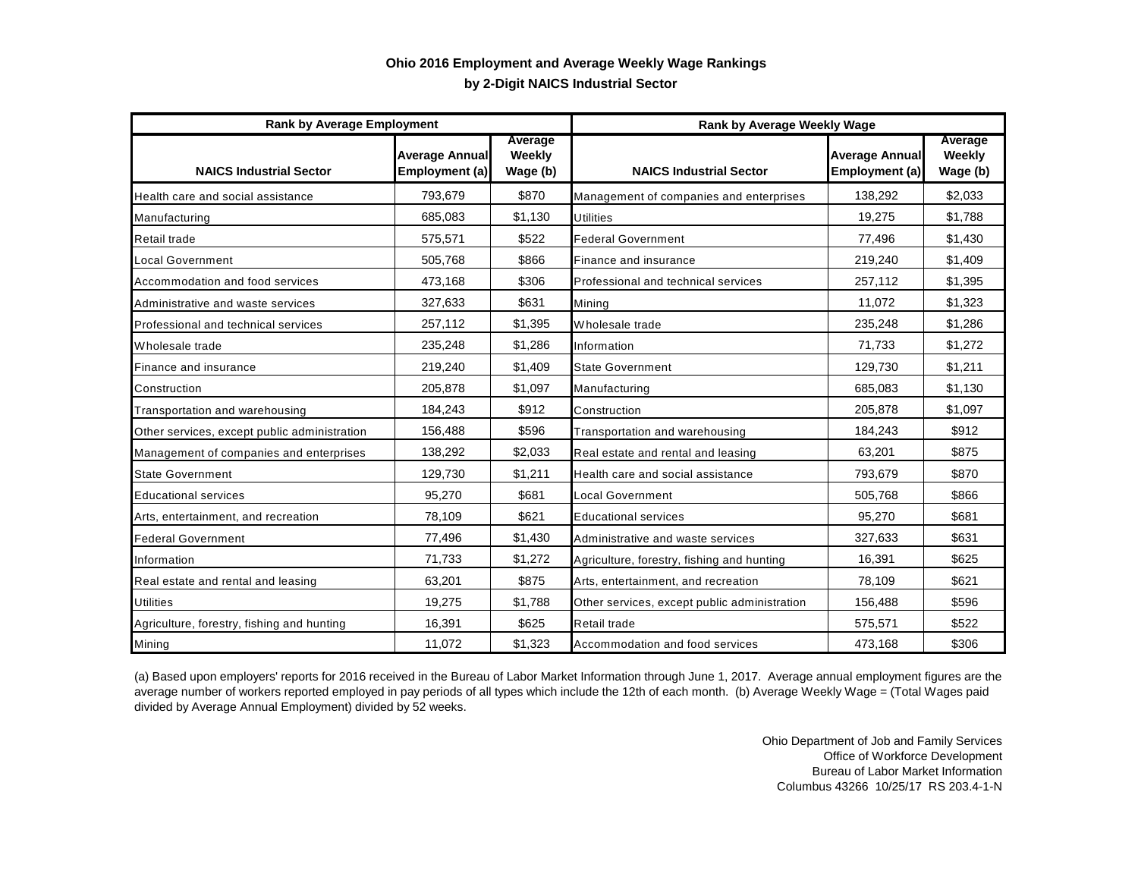## **by 2-Digit NAICS Industrial Sector Ohio 2016 Employment and Average Weekly Wage Rankings**

| <b>Rank by Average Employment</b>            |                                         |                               | <b>Rank by Average Weekly Wage</b>           |                                         |                                      |
|----------------------------------------------|-----------------------------------------|-------------------------------|----------------------------------------------|-----------------------------------------|--------------------------------------|
| <b>NAICS Industrial Sector</b>               | <b>Average Annual</b><br>Employment (a) | Average<br>Weekly<br>Wage (b) | <b>NAICS Industrial Sector</b>               | <b>Average Annual</b><br>Employment (a) | Average<br><b>Weekly</b><br>Wage (b) |
| Health care and social assistance            | 793,679                                 | \$870                         | Management of companies and enterprises      | 138,292                                 | \$2,033                              |
| Manufacturing                                | 685,083                                 | \$1,130                       | <b>Utilities</b>                             | 19,275                                  | \$1,788                              |
| Retail trade                                 | 575,571                                 | \$522                         | <b>Federal Government</b>                    | 77,496                                  | \$1,430                              |
| <b>Local Government</b>                      | 505,768                                 | \$866                         | Finance and insurance                        | 219,240                                 | \$1,409                              |
| Accommodation and food services              | 473,168                                 | \$306                         | Professional and technical services          | 257,112                                 | \$1,395                              |
| Administrative and waste services            | 327,633                                 | \$631                         | Mining                                       | 11,072                                  | \$1,323                              |
| Professional and technical services          | 257,112                                 | \$1,395                       | Wholesale trade                              | 235,248                                 | \$1,286                              |
| Wholesale trade                              | 235,248                                 | \$1,286                       | Information                                  | 71,733                                  | \$1,272                              |
| Finance and insurance                        | 219,240                                 | \$1,409                       | <b>State Government</b>                      | 129,730                                 | \$1,211                              |
| Construction                                 | 205,878                                 | \$1,097                       | Manufacturing                                | 685,083                                 | \$1,130                              |
| Transportation and warehousing               | 184,243                                 | \$912                         | Construction                                 | 205,878                                 | \$1,097                              |
| Other services, except public administration | 156,488                                 | \$596                         | Transportation and warehousing               | 184,243                                 | \$912                                |
| Management of companies and enterprises      | 138,292                                 | \$2,033                       | Real estate and rental and leasing           | 63,201                                  | \$875                                |
| <b>State Government</b>                      | 129,730                                 | \$1,211                       | Health care and social assistance            | 793,679                                 | \$870                                |
| <b>Educational services</b>                  | 95,270                                  | \$681                         | Local Government                             | 505,768                                 | \$866                                |
| Arts, entertainment, and recreation          | 78,109                                  | \$621                         | <b>Educational services</b>                  | 95,270                                  | \$681                                |
| <b>Federal Government</b>                    | 77,496                                  | \$1,430                       | Administrative and waste services            | 327,633                                 | \$631                                |
| Information                                  | 71,733                                  | \$1,272                       | Agriculture, forestry, fishing and hunting   | 16,391                                  | \$625                                |
| Real estate and rental and leasing           | 63,201                                  | \$875                         | Arts, entertainment, and recreation          | 78,109                                  | \$621                                |
| <b>Utilities</b>                             | 19,275                                  | \$1,788                       | Other services, except public administration | 156,488                                 | \$596                                |
| Agriculture, forestry, fishing and hunting   | 16,391                                  | \$625                         | Retail trade                                 | 575,571                                 | \$522                                |
| Mining                                       | 11,072                                  | \$1,323                       | Accommodation and food services              | 473,168                                 | \$306                                |

(a) Based upon employers' reports for 2016 received in the Bureau of Labor Market Information through June 1, 2017. Average annual employment figures are the average number of workers reported employed in pay periods of all types which include the 12th of each month. (b) Average Weekly Wage = (Total Wages paid divided by Average Annual Employment) divided by 52 weeks.

> Ohio Department of Job and Family Services Office of Workforce Development Bureau of Labor Market Information Columbus 43266 10/25/17 RS 203.4-1-N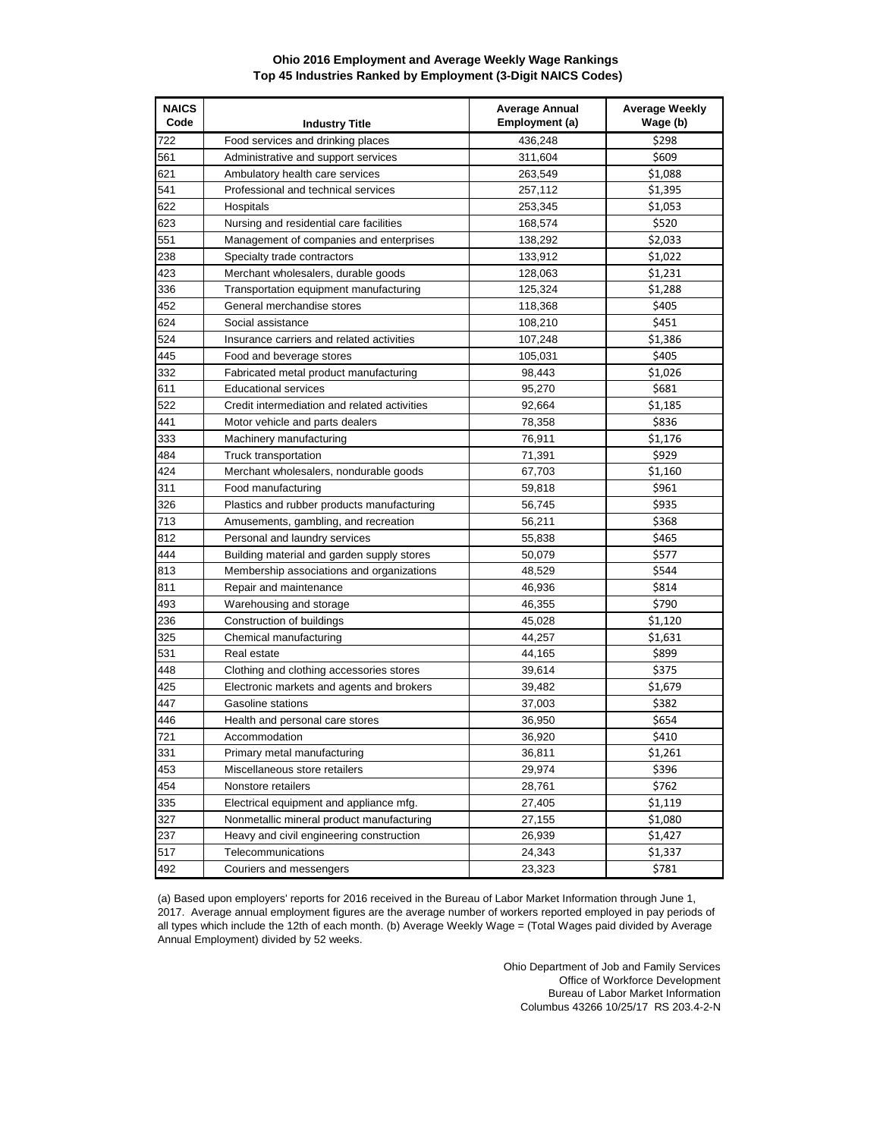## **Ohio 2016 Employment and Average Weekly Wage Rankings Top 45 Industries Ranked by Employment (3-Digit NAICS Codes)**

| <b>NAICS</b><br>Code | <b>Industry Title</b>                        | <b>Average Annual</b><br>Employment (a) | <b>Average Weekly</b><br>Wage (b) |
|----------------------|----------------------------------------------|-----------------------------------------|-----------------------------------|
| 722                  | Food services and drinking places            | 436,248                                 | \$298                             |
| 561                  | Administrative and support services          | 311,604                                 | \$609                             |
| 621                  | Ambulatory health care services              | 263,549                                 | \$1,088                           |
| 541                  | Professional and technical services          | 257,112                                 | \$1,395                           |
| 622                  | Hospitals                                    | 253,345                                 | \$1,053                           |
| 623                  | Nursing and residential care facilities      | 168,574                                 | \$520                             |
| 551                  | Management of companies and enterprises      | 138,292                                 | \$2,033                           |
| 238                  | Specialty trade contractors                  | 133,912                                 | \$1,022                           |
| 423                  | Merchant wholesalers, durable goods          | 128,063                                 | \$1,231                           |
| 336                  | Transportation equipment manufacturing       | 125,324                                 | \$1,288                           |
| 452                  | General merchandise stores                   | 118,368                                 | \$405                             |
| 624                  | Social assistance                            | 108,210                                 | \$451                             |
| 524                  | Insurance carriers and related activities    | 107,248                                 | \$1,386                           |
| 445                  | Food and beverage stores                     | 105,031                                 | \$405                             |
| 332                  | Fabricated metal product manufacturing       | 98,443                                  | \$1,026                           |
| 611                  | <b>Educational services</b>                  | 95,270                                  | \$681                             |
| 522                  | Credit intermediation and related activities | 92,664                                  | \$1,185                           |
| 441                  | Motor vehicle and parts dealers              | 78,358                                  | \$836                             |
| 333                  | Machinery manufacturing                      | 76,911                                  | \$1,176                           |
| 484                  | Truck transportation                         | 71,391                                  | \$929                             |
| 424                  | Merchant wholesalers, nondurable goods       | 67,703                                  | \$1,160                           |
| 311                  | Food manufacturing                           | 59,818                                  | \$961                             |
| 326                  | Plastics and rubber products manufacturing   | 56,745                                  | \$935                             |
| 713                  | Amusements, gambling, and recreation         | 56,211                                  | \$368                             |
| 812                  | Personal and laundry services                | 55,838                                  | \$465                             |
| 444                  | Building material and garden supply stores   | 50,079                                  | \$577                             |
| 813                  | Membership associations and organizations    | 48,529                                  | \$544                             |
| 811                  | Repair and maintenance                       | 46,936                                  | \$814                             |
| 493                  | Warehousing and storage                      | 46,355                                  | \$790                             |
| 236                  | Construction of buildings                    | 45,028                                  | \$1,120                           |
| 325                  | Chemical manufacturing                       | 44,257                                  | \$1,631                           |
| 531                  | Real estate                                  | 44,165                                  | \$899                             |
| 448                  | Clothing and clothing accessories stores     | 39,614                                  | \$375                             |
| 425                  | Electronic markets and agents and brokers    | 39,482                                  | \$1,679                           |
| 447                  | Gasoline stations                            | 37,003                                  | \$382                             |
| 446                  | Health and personal care stores              | 36,950                                  | \$654                             |
| 721                  | Accommodation                                | 36,920                                  | \$410                             |
| 331                  | Primary metal manufacturing                  | 36,811                                  | \$1,261                           |
| 453                  | Miscellaneous store retailers                | 29,974                                  | \$396                             |
| 454                  | Nonstore retailers                           | 28,761                                  | \$762                             |
| 335                  | Electrical equipment and appliance mfg.      | 27,405                                  | \$1,119                           |
| 327                  | Nonmetallic mineral product manufacturing    | 27,155                                  | \$1,080                           |
| 237                  | Heavy and civil engineering construction     | 26,939                                  | \$1,427                           |
| 517                  | Telecommunications                           | 24,343                                  | \$1,337                           |
| 492                  | Couriers and messengers                      | 23,323                                  | \$781                             |
|                      |                                              |                                         |                                   |

(a) Based upon employers' reports for 2016 received in the Bureau of Labor Market Information through June 1, 2017. Average annual employment figures are the average number of workers reported employed in pay periods of all types which include the 12th of each month. (b) Average Weekly Wage = (Total Wages paid divided by Average Annual Employment) divided by 52 weeks.

> Ohio Department of Job and Family Services Office of Workforce Development Bureau of Labor Market Information Columbus 43266 10/25/17 RS 203.4-2-N